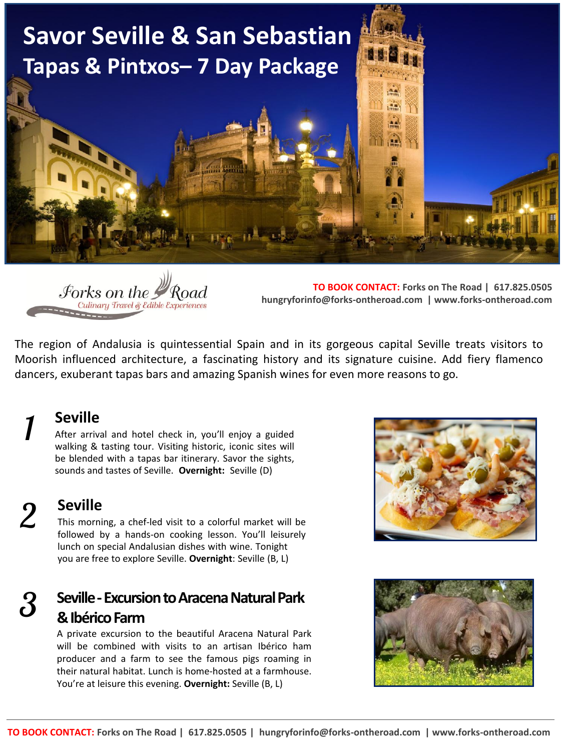



**TO BOOK CONTACT: Forks on The Road | 617.825.0505 hungryforinfo@forks-ontheroad.com | www.forks-ontheroad.com**

The region of Andalusia is quintessential Spain and in its gorgeous capital Seville treats visitors to Moorish influenced architecture, a fascinating history and its signature cuisine. Add fiery flamenco dancers, exuberant tapas bars and amazing Spanish wines for even more reasons to go.

#### **Seville**

After arrival and hotel check in, you'll enjoy a guided walking & tasting tour. Visiting historic, iconic sites will be blended with a tapas bar itinerary. Savor the sights, sounds and tastes of Seville. **Overnight:** Seville (D)

*2* 

*1* 

**Seville** 

This morning, a chef-led visit to a colorful market will be followed by a hands-on cooking lesson. You'll leisurely lunch on special Andalusian dishes with wine. Tonight you are free to explore Seville. **Overnight**: Seville (B, L)

#### **Seville - Excursion to Aracena Natural Park & Ibérico Farm**  *3*

A private excursion to the beautiful Aracena Natural Park will be combined with visits to an artisan Ibérico ham producer and a farm to see the famous pigs roaming in their natural habitat. Lunch is home-hosted at a farmhouse. You're at leisure this evening. **Overnight:** Seville (B, L)



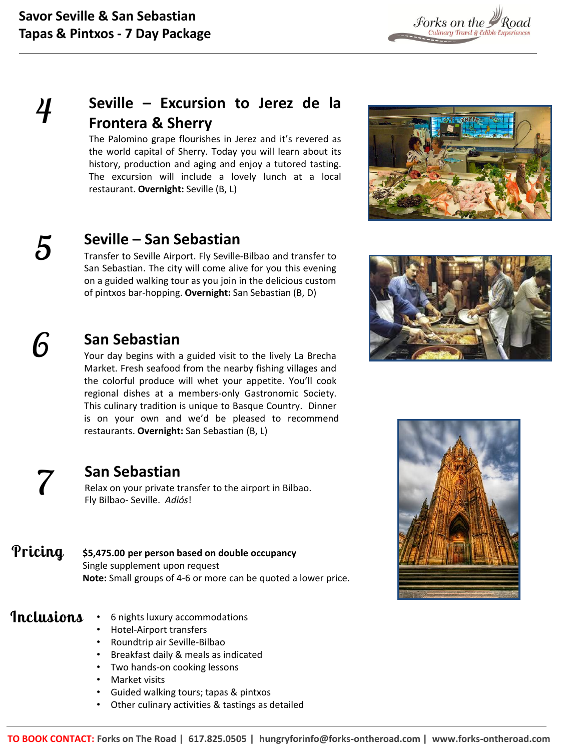$F_{\text{orks on the}}$   $\mathcal{P}_{\text{Road}}$   $F_{\text{culinary Travel} \ \& \ \text{Eabilance}}$ 

### **Seville – Excursion to Jerez de la Frontera & Sherry**

The Palomino grape flourishes in Jerez and it's revered as the world capital of Sherry. Today you will learn about its history, production and aging and enjoy a tutored tasting. The excursion will include a lovely lunch at a local restaurant. **Overnight:** Seville (B, L)



#### **Seville – San Sebastian**

Transfer to Seville Airport. Fly Seville-Bilbao and transfer to San Sebastian. The city will come alive for you this evening on a guided walking tour as you join in the delicious custom of pintxos bar-hopping. **Overnight:** San Sebastian (B, D)

## *6*

*5* 

*4* 

#### **San Sebastian**

Your day begins with a guided visit to the lively La Brecha Market. Fresh seafood from the nearby fishing villages and the colorful produce will whet your appetite. You'll cook regional dishes at a members-only Gastronomic Society. This culinary tradition is unique to Basque Country. Dinner is on your own and we'd be pleased to recommend restaurants. **Overnight:** San Sebastian (B, L)

#### **San Sebastian**

Relax on your private transfer to the airport in Bilbao. Fly Bilbao- Seville. *Adiós*!

**\$5,475.00 per person based on double occupancy**  Single supplement upon request **Note:** Small groups of 4-6 or more can be quoted a lower price. **Pricing** 

#### **Inclusions**

*7* 

- 6 nights luxury accommodations
	- Hotel-Airport transfers
	- Roundtrip air Seville-Bilbao
	- Breakfast daily & meals as indicated
	- Two hands-on cooking lessons
	- Market visits
	- Guided walking tours; tapas & pintxos
	- Other culinary activities & tastings as detailed